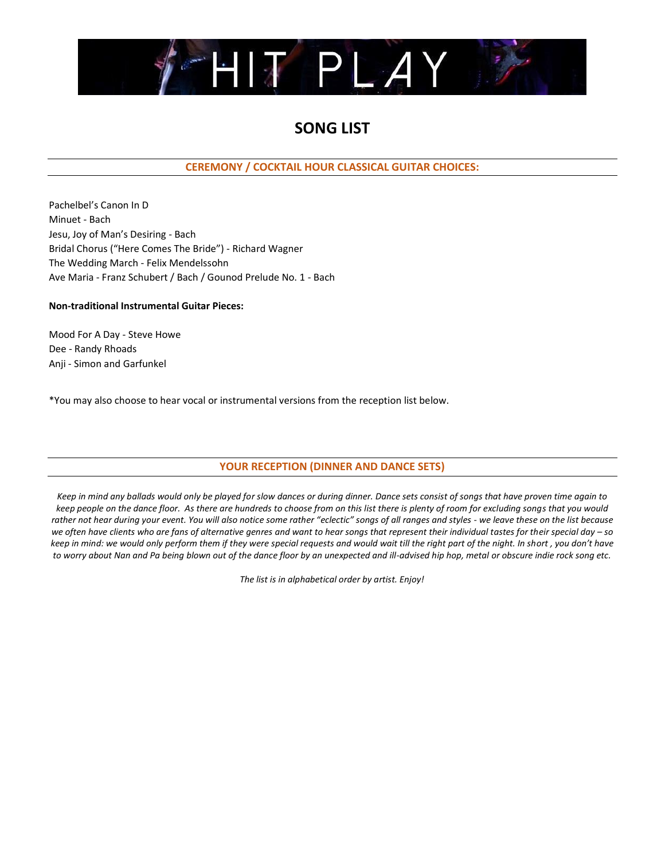

# **SONG LIST**

**CEREMONY / COCKTAIL HOUR CLASSICAL GUITAR CHOICES:**

Pachelbel's Canon In D Minuet - Bach Jesu, Joy of Man's Desiring - Bach Bridal Chorus ("Here Comes The Bride") - Richard Wagner The Wedding March - Felix Mendelssohn Ave Maria - Franz Schubert / Bach / Gounod Prelude No. 1 - Bach

## **Non-traditional Instrumental Guitar Pieces:**

Mood For A Day - Steve Howe Dee - Randy Rhoads Anji - Simon and Garfunkel

\*You may also choose to hear vocal or instrumental versions from the reception list below.

# **YOUR RECEPTION (DINNER AND DANCE SETS)**

*Keep in mind any ballads would only be played for slow dances or during dinner. Dance sets consist of songs that have proven time again to keep people on the dance floor. As there are hundreds to choose from on this list there is plenty of room for excluding songs that you would rather not hear during your event. You will also notice some rather "eclectic" songs of all ranges and styles - we leave these on the list because* we often have clients who are fans of alternative genres and want to hear songs that represent their individual tastes for their special day - so *keep in mind: we would only perform them if they were special requests and would wait till the right part of the night. In short , you don't have to worry about Nan and Pa being blown out of the dance floor by an unexpected and ill-advised hip hop, metal or obscure indie rock song etc.*

*The list is in alphabetical order by artist. Enjoy!*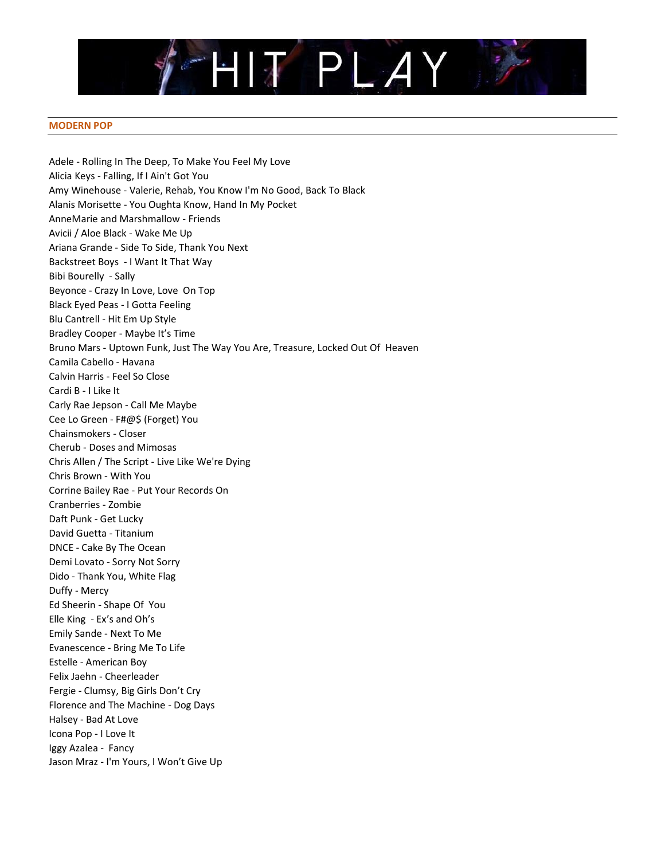

#### **MODERN POP**

Adele - Rolling In The Deep, To Make You Feel My Love Alicia Keys - Falling, If I Ain't Got You Amy Winehouse - Valerie, Rehab, You Know I'm No Good, Back To Black Alanis Morisette - You Oughta Know, Hand In My Pocket AnneMarie and Marshmallow - Friends Avicii / Aloe Black - Wake Me Up Ariana Grande - Side To Side, Thank You Next Backstreet Boys - I Want It That Way Bibi Bourelly - Sally Beyonce - Crazy In Love, Love On Top Black Eyed Peas - I Gotta Feeling Blu Cantrell - Hit Em Up Style Bradley Cooper - Maybe It's Time Bruno Mars - Uptown Funk, Just The Way You Are, Treasure, Locked Out Of Heaven Camila Cabello - Havana Calvin Harris - Feel So Close Cardi B - I Like It Carly Rae Jepson - Call Me Maybe Cee Lo Green - F#@\$ (Forget) You Chainsmokers - Closer Cherub - Doses and Mimosas Chris Allen / The Script - Live Like We're Dying Chris Brown - With You Corrine Bailey Rae - Put Your Records On Cranberries - Zombie Daft Punk - Get Lucky David Guetta - Titanium DNCE - Cake By The Ocean Demi Lovato - Sorry Not Sorry Dido - Thank You, White Flag Duffy - Mercy Ed Sheerin - Shape Of You Elle King - Ex's and Oh's Emily Sande - Next To Me Evanescence - Bring Me To Life Estelle - American Boy Felix Jaehn - Cheerleader Fergie - Clumsy, Big Girls Don't Cry Florence and The Machine - Dog Days Halsey - Bad At Love Icona Pop - I Love It Iggy Azalea - Fancy Jason Mraz - I'm Yours, I Won't Give Up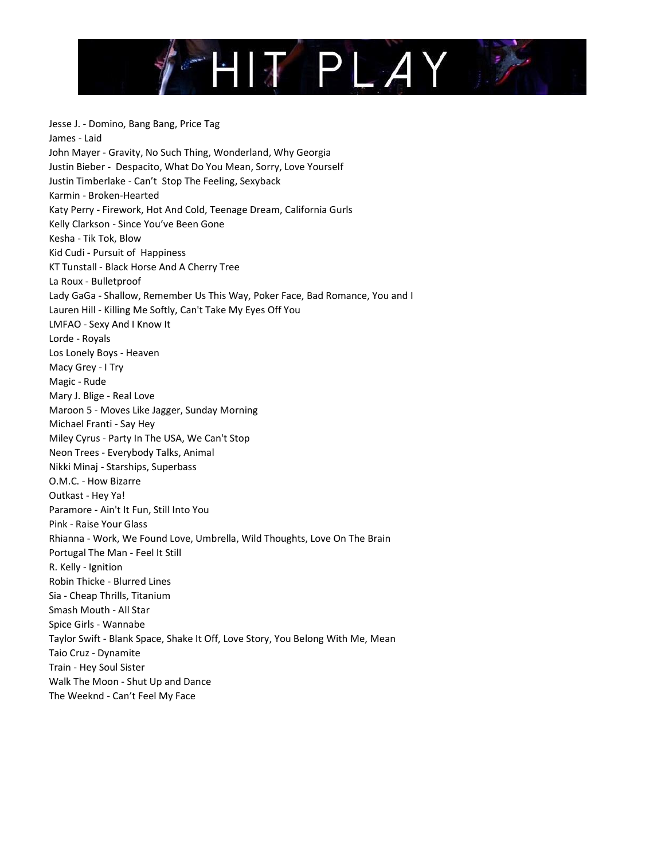

Jesse J. - Domino, Bang Bang, Price Tag James - Laid John Mayer - Gravity, No Such Thing, Wonderland, Why Georgia Justin Bieber - Despacito, What Do You Mean, Sorry, Love Yourself Justin Timberlake - Can't Stop The Feeling, Sexyback Karmin - Broken-Hearted Katy Perry - Firework, Hot And Cold, Teenage Dream, California Gurls Kelly Clarkson - Since You've Been Gone Kesha - Tik Tok, Blow Kid Cudi - Pursuit of Happiness KT Tunstall - Black Horse And A Cherry Tree La Roux - Bulletproof Lady GaGa - Shallow, Remember Us This Way, Poker Face, Bad Romance, You and I Lauren Hill - Killing Me Softly, Can't Take My Eyes Off You LMFAO - Sexy And I Know It Lorde - Royals Los Lonely Boys - Heaven Macy Grey - I Try Magic - Rude Mary J. Blige - Real Love Maroon 5 - Moves Like Jagger, Sunday Morning Michael Franti - Say Hey Miley Cyrus - Party In The USA, We Can't Stop Neon Trees - Everybody Talks, Animal Nikki Minaj - Starships, Superbass O.M.C. - How Bizarre Outkast - Hey Ya! Paramore - Ain't It Fun, Still Into You Pink - Raise Your Glass Rhianna - Work, We Found Love, Umbrella, Wild Thoughts, Love On The Brain Portugal The Man - Feel It Still R. Kelly - Ignition Robin Thicke - Blurred Lines Sia - Cheap Thrills, Titanium Smash Mouth - All Star Spice Girls - Wannabe Taylor Swift - Blank Space, Shake It Off, Love Story, You Belong With Me, Mean Taio Cruz - Dynamite Train - Hey Soul Sister Walk The Moon - Shut Up and Dance The Weeknd - Can't Feel My Face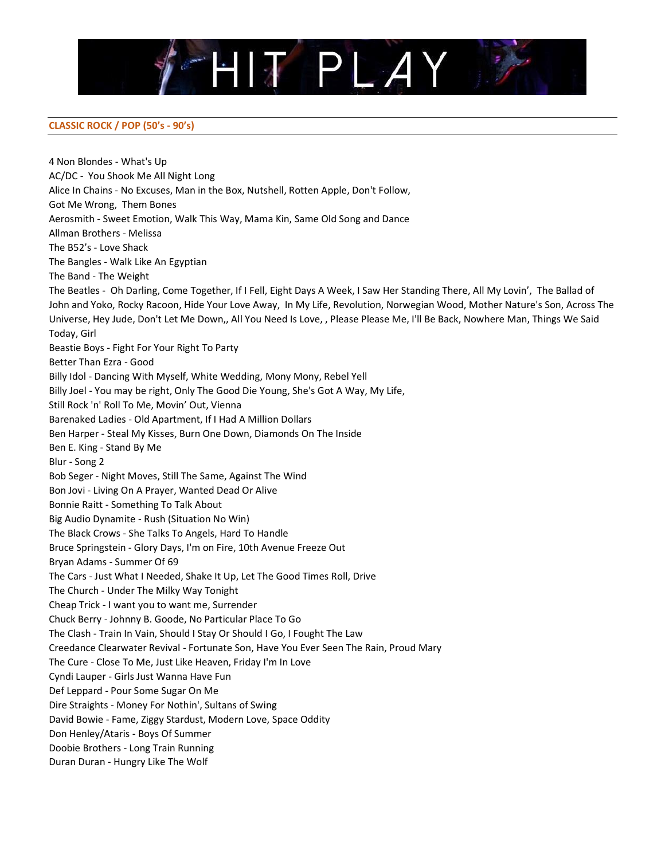

## **CLASSIC ROCK / POP (50's - 90's)**

4 Non Blondes - What's Up AC/DC - You Shook Me All Night Long Alice In Chains - No Excuses, Man in the Box, Nutshell, Rotten Apple, Don't Follow, Got Me Wrong, Them Bones Aerosmith - Sweet Emotion, Walk This Way, Mama Kin, Same Old Song and Dance Allman Brothers - Melissa The B52's - Love Shack The Bangles - Walk Like An Egyptian The Band - The Weight The Beatles - Oh Darling, Come Together, If I Fell, Eight Days A Week, I Saw Her Standing There, All My Lovin', The Ballad of John and Yoko, Rocky Racoon, Hide Your Love Away, In My Life, Revolution, Norwegian Wood, Mother Nature's Son, Across The Universe, Hey Jude, Don't Let Me Down,, All You Need Is Love, , Please Please Me, I'll Be Back, Nowhere Man, Things We Said Today, Girl Beastie Boys - Fight For Your Right To Party Better Than Ezra - Good Billy Idol - Dancing With Myself, White Wedding, Mony Mony, Rebel Yell Billy Joel - You may be right, Only The Good Die Young, She's Got A Way, My Life, Still Rock 'n' Roll To Me, Movin' Out, Vienna Barenaked Ladies - Old Apartment, If I Had A Million Dollars Ben Harper - Steal My Kisses, Burn One Down, Diamonds On The Inside Ben E. King - Stand By Me Blur - Song 2 Bob Seger - Night Moves, Still The Same, Against The Wind Bon Jovi - Living On A Prayer, Wanted Dead Or Alive Bonnie Raitt - Something To Talk About Big Audio Dynamite - Rush (Situation No Win) The Black Crows - She Talks To Angels, Hard To Handle Bruce Springstein - Glory Days, I'm on Fire, 10th Avenue Freeze Out Bryan Adams - Summer Of 69 The Cars - Just What I Needed, Shake It Up, Let The Good Times Roll, Drive The Church - Under The Milky Way Tonight Cheap Trick - I want you to want me, Surrender Chuck Berry - Johnny B. Goode, No Particular Place To Go The Clash - Train In Vain, Should I Stay Or Should I Go, I Fought The Law Creedance Clearwater Revival - Fortunate Son, Have You Ever Seen The Rain, Proud Mary The Cure - Close To Me, Just Like Heaven, Friday I'm In Love Cyndi Lauper - Girls Just Wanna Have Fun Def Leppard - Pour Some Sugar On Me Dire Straights - Money For Nothin', Sultans of Swing David Bowie - Fame, Ziggy Stardust, Modern Love, Space Oddity Don Henley/Ataris - Boys Of Summer Doobie Brothers - Long Train Running Duran Duran - Hungry Like The Wolf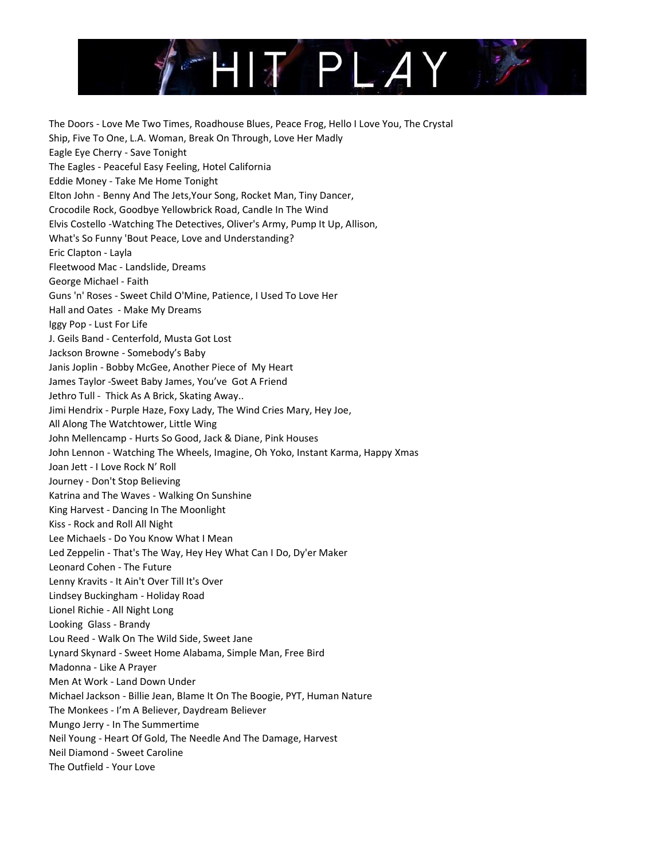

The Doors - Love Me Two Times, Roadhouse Blues, Peace Frog, Hello I Love You, The Crystal Ship, Five To One, L.A. Woman, Break On Through, Love Her Madly Eagle Eye Cherry - Save Tonight The Eagles - Peaceful Easy Feeling, Hotel California Eddie Money - Take Me Home Tonight Elton John - Benny And The Jets,Your Song, Rocket Man, Tiny Dancer, Crocodile Rock, Goodbye Yellowbrick Road, Candle In The Wind Elvis Costello -Watching The Detectives, Oliver's Army, Pump It Up, Allison, What's So Funny 'Bout Peace, Love and Understanding? Eric Clapton - Layla Fleetwood Mac - Landslide, Dreams George Michael - Faith Guns 'n' Roses - Sweet Child O'Mine, Patience, I Used To Love Her Hall and Oates - Make My Dreams Iggy Pop - Lust For Life J. Geils Band - Centerfold, Musta Got Lost Jackson Browne - Somebody's Baby Janis Joplin - Bobby McGee, Another Piece of My Heart James Taylor -Sweet Baby James, You've Got A Friend Jethro Tull - Thick As A Brick, Skating Away.. Jimi Hendrix - Purple Haze, Foxy Lady, The Wind Cries Mary, Hey Joe, All Along The Watchtower, Little Wing John Mellencamp - Hurts So Good, Jack & Diane, Pink Houses John Lennon - Watching The Wheels, Imagine, Oh Yoko, Instant Karma, Happy Xmas Joan Jett - I Love Rock N' Roll Journey - Don't Stop Believing Katrina and The Waves - Walking On Sunshine King Harvest - Dancing In The Moonlight Kiss - Rock and Roll All Night Lee Michaels - Do You Know What I Mean Led Zeppelin - That's The Way, Hey Hey What Can I Do, Dy'er Maker Leonard Cohen - The Future Lenny Kravits - It Ain't Over Till It's Over Lindsey Buckingham - Holiday Road Lionel Richie - All Night Long Looking Glass - Brandy Lou Reed - Walk On The Wild Side, Sweet Jane Lynard Skynard - Sweet Home Alabama, Simple Man, Free Bird Madonna - Like A Prayer Men At Work - Land Down Under Michael Jackson - Billie Jean, Blame It On The Boogie, PYT, Human Nature The Monkees - I'm A Believer, Daydream Believer Mungo Jerry - In The Summertime Neil Young - Heart Of Gold, The Needle And The Damage, Harvest Neil Diamond - Sweet Caroline The Outfield - Your Love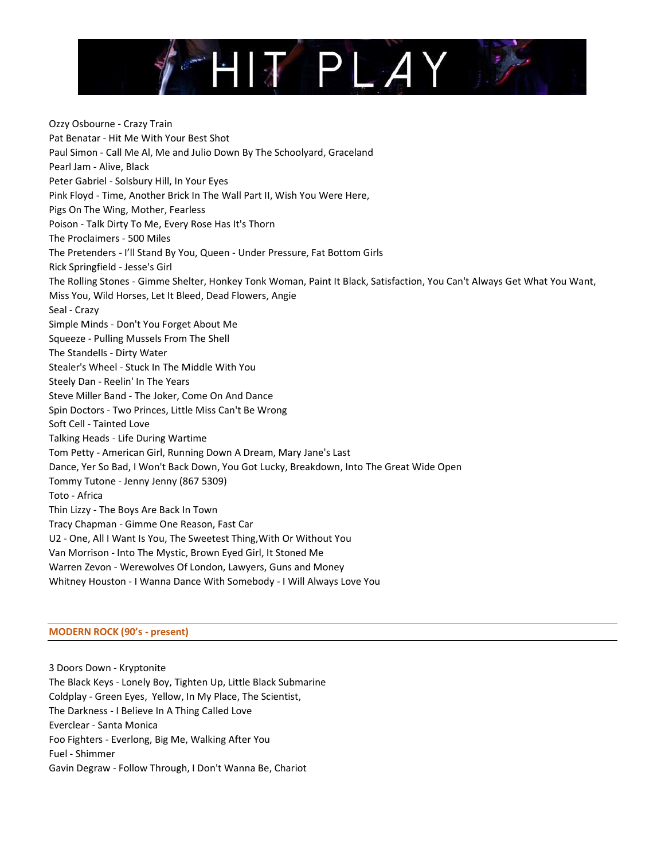

Ozzy Osbourne - Crazy Train Pat Benatar - Hit Me With Your Best Shot Paul Simon - Call Me Al, Me and Julio Down By The Schoolyard, Graceland Pearl Jam - Alive, Black Peter Gabriel - Solsbury Hill, In Your Eyes Pink Floyd - Time, Another Brick In The Wall Part II, Wish You Were Here, Pigs On The Wing, Mother, Fearless Poison - Talk Dirty To Me, Every Rose Has It's Thorn The Proclaimers - 500 Miles The Pretenders - I'll Stand By You, Queen - Under Pressure, Fat Bottom Girls Rick Springfield - Jesse's Girl The Rolling Stones - Gimme Shelter, Honkey Tonk Woman, Paint It Black, Satisfaction, You Can't Always Get What You Want, Miss You, Wild Horses, Let It Bleed, Dead Flowers, Angie Seal - Crazy Simple Minds - Don't You Forget About Me Squeeze - Pulling Mussels From The Shell The Standells - Dirty Water Stealer's Wheel - Stuck In The Middle With You Steely Dan - Reelin' In The Years Steve Miller Band - The Joker, Come On And Dance Spin Doctors - Two Princes, Little Miss Can't Be Wrong Soft Cell - Tainted Love Talking Heads - Life During Wartime Tom Petty - American Girl, Running Down A Dream, Mary Jane's Last Dance, Yer So Bad, I Won't Back Down, You Got Lucky, Breakdown, Into The Great Wide Open Tommy Tutone - Jenny Jenny (867 5309) Toto - Africa Thin Lizzy - The Boys Are Back In Town Tracy Chapman - Gimme One Reason, Fast Car U2 - One, All I Want Is You, The Sweetest Thing,With Or Without You Van Morrison - Into The Mystic, Brown Eyed Girl, It Stoned Me Warren Zevon - Werewolves Of London, Lawyers, Guns and Money Whitney Houston - I Wanna Dance With Somebody - I Will Always Love You

## **MODERN ROCK (90's - present)**

3 Doors Down - Kryptonite The Black Keys - Lonely Boy, Tighten Up, Little Black Submarine Coldplay - Green Eyes, Yellow, In My Place, The Scientist, The Darkness - I Believe In A Thing Called Love Everclear - Santa Monica Foo Fighters - Everlong, Big Me, Walking After You Fuel - Shimmer Gavin Degraw - Follow Through, I Don't Wanna Be, Chariot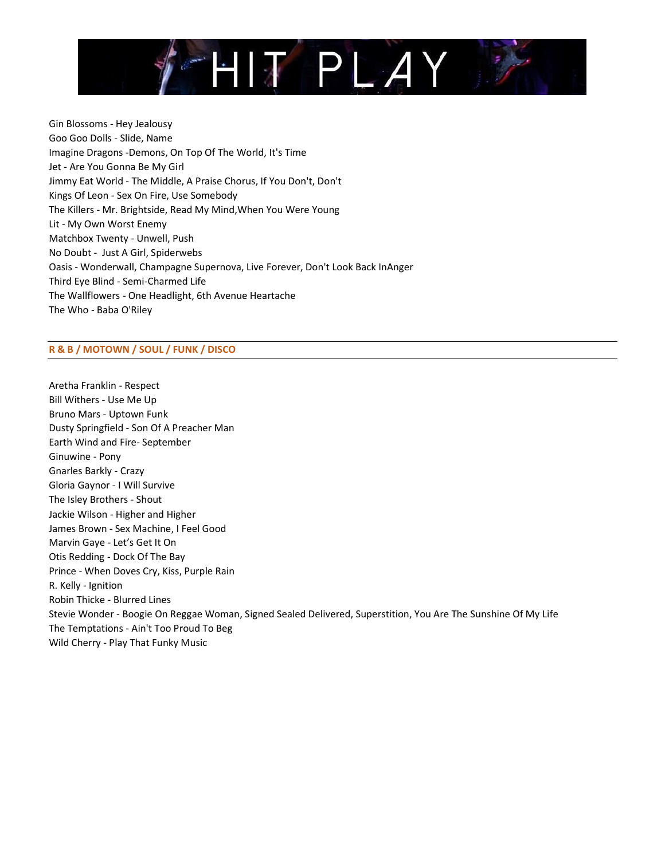

Gin Blossoms - Hey Jealousy Goo Goo Dolls - Slide, Name Imagine Dragons -Demons, On Top Of The World, It's Time Jet - Are You Gonna Be My Girl Jimmy Eat World - The Middle, A Praise Chorus, If You Don't, Don't Kings Of Leon - Sex On Fire, Use Somebody The Killers - Mr. Brightside, Read My Mind,When You Were Young Lit - My Own Worst Enemy Matchbox Twenty - Unwell, Push No Doubt - Just A Girl, Spiderwebs Oasis - Wonderwall, Champagne Supernova, Live Forever, Don't Look Back InAnger Third Eye Blind - Semi-Charmed Life The Wallflowers - One Headlight, 6th Avenue Heartache The Who - Baba O'Riley

## **R & B / MOTOWN / SOUL / FUNK / DISCO**

Aretha Franklin - Respect Bill Withers - Use Me Up Bruno Mars - Uptown Funk Dusty Springfield - Son Of A Preacher Man Earth Wind and Fire- September Ginuwine - Pony Gnarles Barkly - Crazy Gloria Gaynor - I Will Survive The Isley Brothers - Shout Jackie Wilson - Higher and Higher James Brown - Sex Machine, I Feel Good Marvin Gaye - Let's Get It On Otis Redding - Dock Of The Bay Prince - When Doves Cry, Kiss, Purple Rain R. Kelly - Ignition Robin Thicke - Blurred Lines Stevie Wonder - Boogie On Reggae Woman, Signed Sealed Delivered, Superstition, You Are The Sunshine Of My Life The Temptations - Ain't Too Proud To Beg Wild Cherry - Play That Funky Music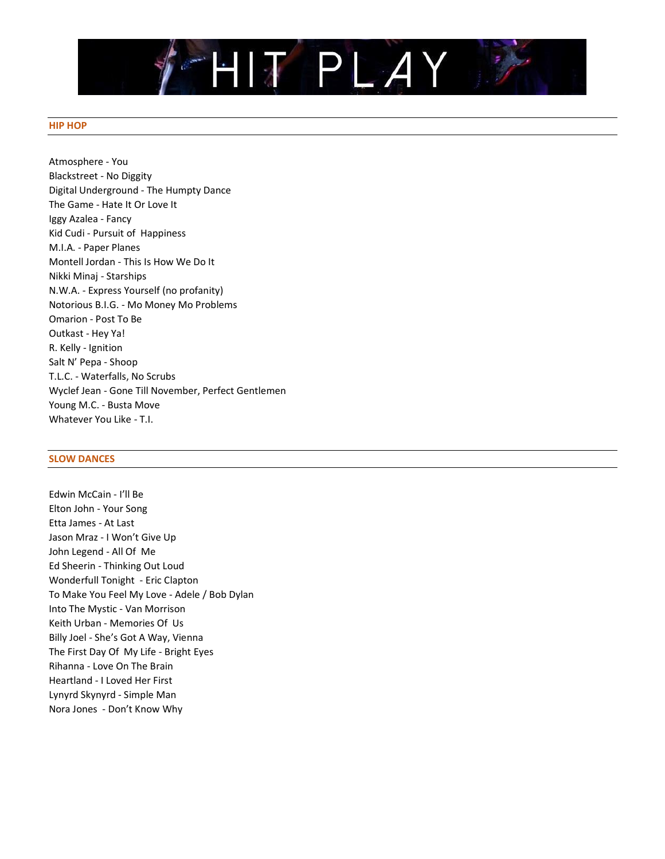

## **HIP HOP**

Atmosphere - You Blackstreet - No Diggity Digital Underground - The Humpty Dance The Game - Hate It Or Love It Iggy Azalea - Fancy Kid Cudi - Pursuit of Happiness M.I.A. - Paper Planes Montell Jordan - This Is How We Do It Nikki Minaj - Starships N.W.A. - Express Yourself (no profanity) Notorious B.I.G. - Mo Money Mo Problems Omarion - Post To Be Outkast - Hey Ya! R. Kelly - Ignition Salt N' Pepa - Shoop T.L.C. - Waterfalls, No Scrubs Wyclef Jean - Gone Till November, Perfect Gentlemen Young M.C. - Busta Move Whatever You Like - T.I.

## **SLOW DANCES**

Edwin McCain - I'll Be Elton John - Your Song Etta James - At Last Jason Mraz - I Won't Give Up John Legend - All Of Me Ed Sheerin - Thinking Out Loud Wonderfull Tonight - Eric Clapton To Make You Feel My Love - Adele / Bob Dylan Into The Mystic - Van Morrison Keith Urban - Memories Of Us Billy Joel - She's Got A Way, Vienna The First Day Of My Life - Bright Eyes Rihanna - Love On The Brain Heartland - I Loved Her First Lynyrd Skynyrd - Simple Man Nora Jones - Don't Know Why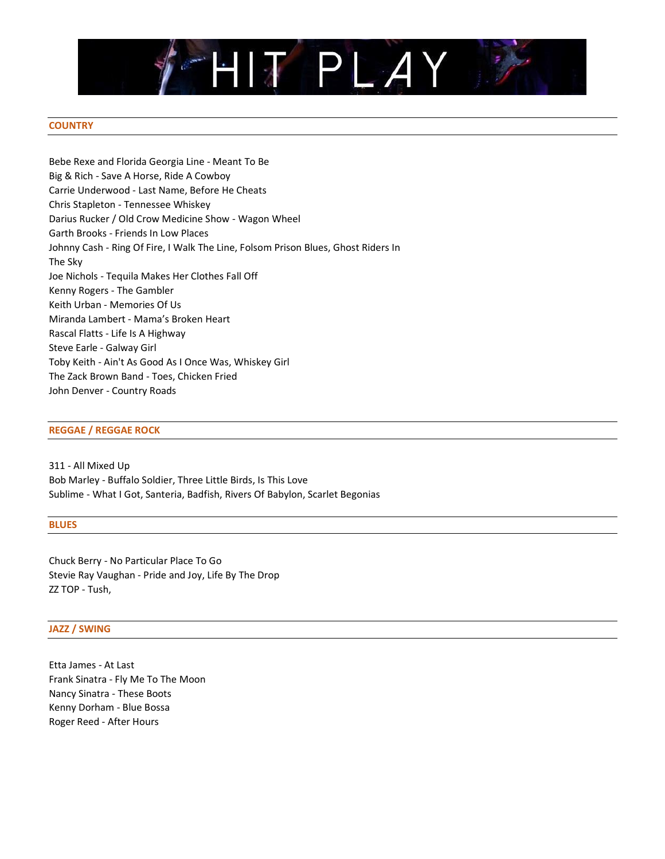

## **COUNTRY**

Bebe Rexe and Florida Georgia Line - Meant To Be Big & Rich - Save A Horse, Ride A Cowboy Carrie Underwood - Last Name, Before He Cheats Chris Stapleton - Tennessee Whiskey Darius Rucker / Old Crow Medicine Show - Wagon Wheel Garth Brooks - Friends In Low Places Johnny Cash - Ring Of Fire, I Walk The Line, Folsom Prison Blues, Ghost Riders In The Sky Joe Nichols - Tequila Makes Her Clothes Fall Off Kenny Rogers - The Gambler Keith Urban - Memories Of Us Miranda Lambert - Mama's Broken Heart Rascal Flatts - Life Is A Highway Steve Earle - Galway Girl Toby Keith - Ain't As Good As I Once Was, Whiskey Girl The Zack Brown Band - Toes, Chicken Fried John Denver - Country Roads

## **REGGAE / REGGAE ROCK**

311 - All Mixed Up Bob Marley - Buffalo Soldier, Three Little Birds, Is This Love Sublime - What I Got, Santeria, Badfish, Rivers Of Babylon, Scarlet Begonias

#### **BLUES**

Chuck Berry - No Particular Place To Go Stevie Ray Vaughan - Pride and Joy, Life By The Drop ZZ TOP - Tush,

#### **JAZZ / SWING**

Etta James - At Last Frank Sinatra - Fly Me To The Moon Nancy Sinatra - These Boots Kenny Dorham - Blue Bossa Roger Reed - After Hours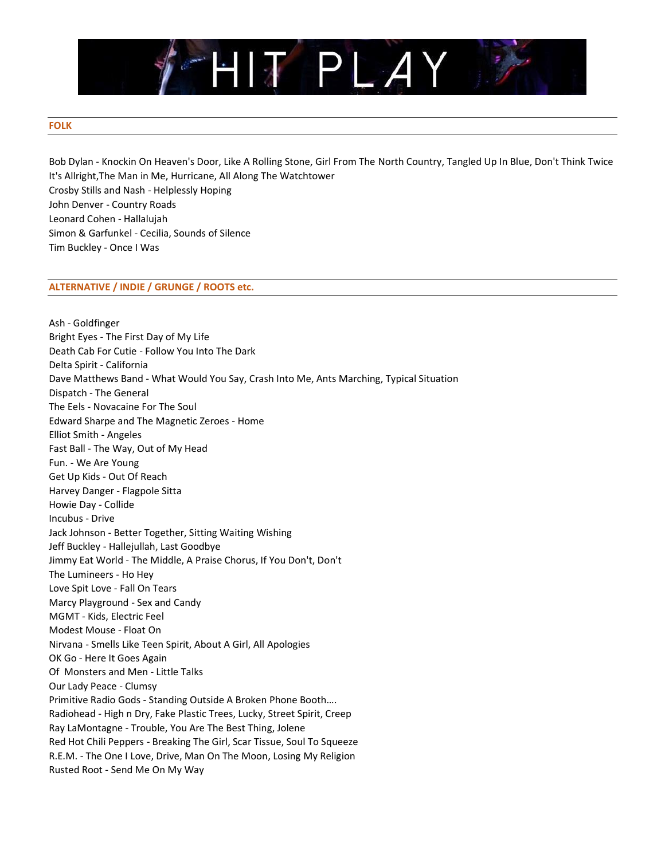

## **FOLK**

Bob Dylan - Knockin On Heaven's Door, Like A Rolling Stone, Girl From The North Country, Tangled Up In Blue, Don't Think Twice It's Allright,The Man in Me, Hurricane, All Along The Watchtower Crosby Stills and Nash - Helplessly Hoping John Denver - Country Roads Leonard Cohen - Hallalujah Simon & Garfunkel - Cecilia, Sounds of Silence Tim Buckley - Once I Was

## **ALTERNATIVE / INDIE / GRUNGE / ROOTS etc.**

Ash - Goldfinger Bright Eyes - The First Day of My Life Death Cab For Cutie - Follow You Into The Dark Delta Spirit - California Dave Matthews Band - What Would You Say, Crash Into Me, Ants Marching, Typical Situation Dispatch - The General The Eels - Novacaine For The Soul Edward Sharpe and The Magnetic Zeroes - Home Elliot Smith - Angeles Fast Ball - The Way, Out of My Head Fun. - We Are Young Get Up Kids - Out Of Reach Harvey Danger - Flagpole Sitta Howie Day - Collide Incubus - Drive Jack Johnson - Better Together, Sitting Waiting Wishing Jeff Buckley - Hallejullah, Last Goodbye Jimmy Eat World - The Middle, A Praise Chorus, If You Don't, Don't The Lumineers - Ho Hey Love Spit Love - Fall On Tears Marcy Playground - Sex and Candy MGMT - Kids, Electric Feel Modest Mouse - Float On Nirvana - Smells Like Teen Spirit, About A Girl, All Apologies OK Go - Here It Goes Again Of Monsters and Men - Little Talks Our Lady Peace - Clumsy Primitive Radio Gods - Standing Outside A Broken Phone Booth…. Radiohead - High n Dry, Fake Plastic Trees, Lucky, Street Spirit, Creep Ray LaMontagne - Trouble, You Are The Best Thing, Jolene Red Hot Chili Peppers - Breaking The Girl, Scar Tissue, Soul To Squeeze R.E.M. - The One I Love, Drive, Man On The Moon, Losing My Religion Rusted Root - Send Me On My Way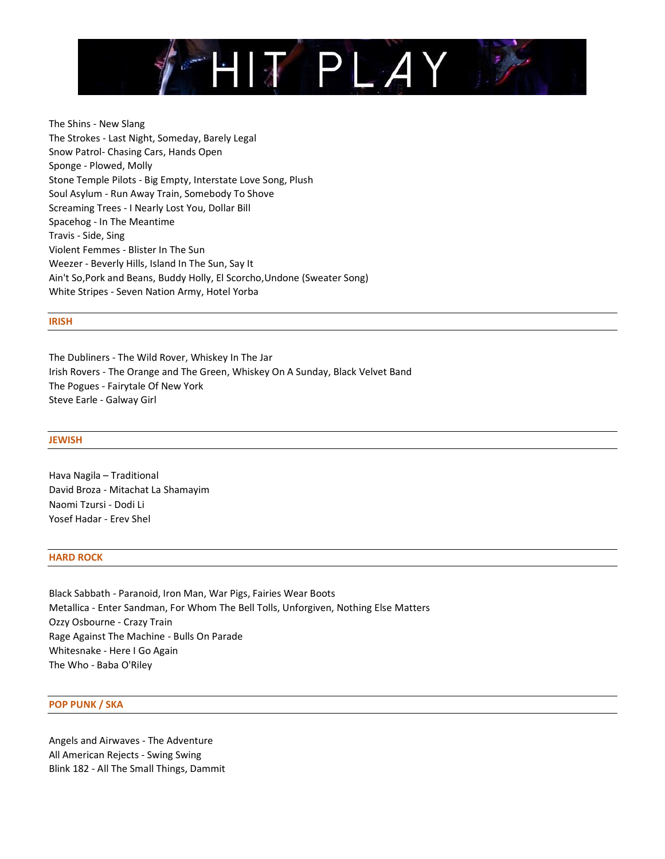

The Shins - New Slang The Strokes - Last Night, Someday, Barely Legal Snow Patrol- Chasing Cars, Hands Open Sponge - Plowed, Molly Stone Temple Pilots - Big Empty, Interstate Love Song, Plush Soul Asylum - Run Away Train, Somebody To Shove Screaming Trees - I Nearly Lost You, Dollar Bill Spacehog - In The Meantime Travis - Side, Sing Violent Femmes - Blister In The Sun Weezer - Beverly Hills, Island In The Sun, Say It Ain't So,Pork and Beans, Buddy Holly, El Scorcho,Undone (Sweater Song) White Stripes - Seven Nation Army, Hotel Yorba

## **IRISH**

The Dubliners - The Wild Rover, Whiskey In The Jar Irish Rovers - The Orange and The Green, Whiskey On A Sunday, Black Velvet Band The Pogues - Fairytale Of New York Steve Earle - Galway Girl

#### **JEWISH**

Hava Nagila – Traditional David Broza - Mitachat La Shamayim Naomi Tzursi - Dodi Li Yosef Hadar - Erev Shel

#### **HARD ROCK**

Black Sabbath - Paranoid, Iron Man, War Pigs, Fairies Wear Boots Metallica - Enter Sandman, For Whom The Bell Tolls, Unforgiven, Nothing Else Matters Ozzy Osbourne - Crazy Train Rage Against The Machine - Bulls On Parade Whitesnake - Here I Go Again The Who - Baba O'Riley

## **POP PUNK / SKA**

Angels and Airwaves - The Adventure All American Rejects - Swing Swing Blink 182 - All The Small Things, Dammit